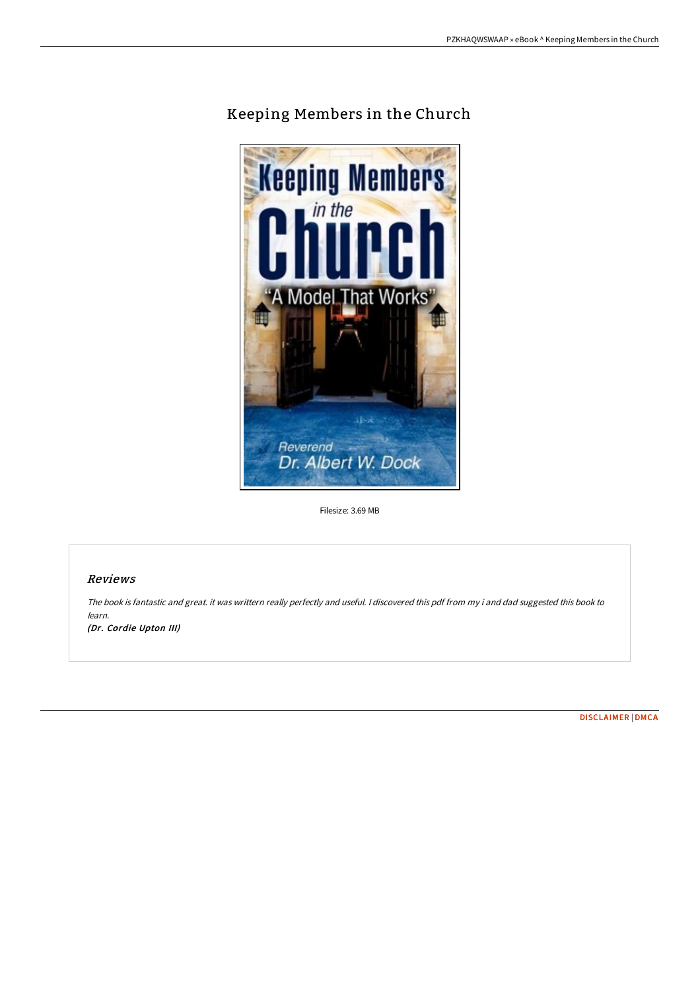

# Keeping Members in the Church

Filesize: 3.69 MB

# Reviews

The book is fantastic and great. it was writtern really perfectly and useful. <sup>I</sup> discovered this pdf from my i and dad suggested this book to learn.

(Dr. Cordie Upton III)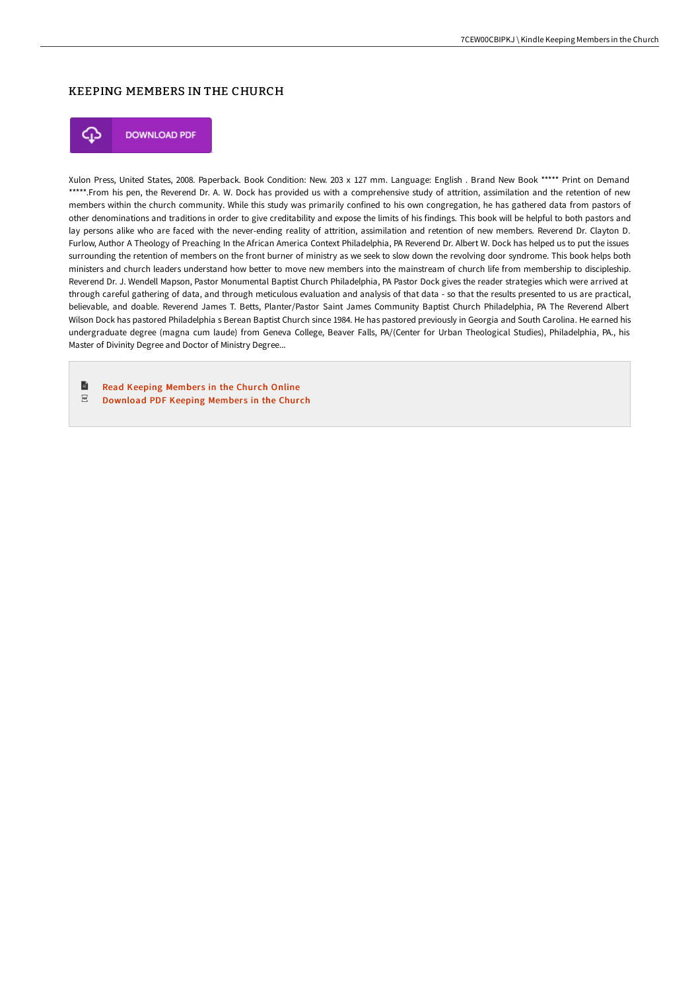# KEEPING MEMBERS IN THE CHURCH



**DOWNLOAD PDF** 

Xulon Press, United States, 2008. Paperback. Book Condition: New. 203 x 127 mm. Language: English . Brand New Book \*\*\*\*\* Print on Demand \*\*\*\*\*.From his pen, the Reverend Dr. A. W. Dock has provided us with a comprehensive study of attrition, assimilation and the retention of new members within the church community. While this study was primarily confined to his own congregation, he has gathered data from pastors of other denominations and traditions in order to give creditability and expose the limits of his findings. This book will be helpful to both pastors and lay persons alike who are faced with the never-ending reality of attrition, assimilation and retention of new members. Reverend Dr. Clayton D. Furlow, Author A Theology of Preaching In the African America Context Philadelphia, PA Reverend Dr. Albert W. Dock has helped us to put the issues surrounding the retention of members on the front burner of ministry as we seek to slow down the revolving door syndrome. This book helps both ministers and church leaders understand how better to move new members into the mainstream of church life from membership to discipleship. Reverend Dr. J. Wendell Mapson, Pastor Monumental Baptist Church Philadelphia, PA Pastor Dock gives the reader strategies which were arrived at through careful gathering of data, and through meticulous evaluation and analysis of that data - so that the results presented to us are practical, believable, and doable. Reverend James T. Betts, Planter/Pastor Saint James Community Baptist Church Philadelphia, PA The Reverend Albert Wilson Dock has pastored Philadelphia s Berean Baptist Church since 1984. He has pastored previously in Georgia and South Carolina. He earned his undergraduate degree (magna cum laude) from Geneva College, Beaver Falls, PA/(Center for Urban Theological Studies), Philadelphia, PA., his Master of Divinity Degree and Doctor of Ministry Degree...

B Read [Keeping](http://bookera.tech/keeping-members-in-the-church-paperback.html) Members in the Church Online  $_{\rm PDF}$ [Download](http://bookera.tech/keeping-members-in-the-church-paperback.html) PDF Keeping Members in the Church